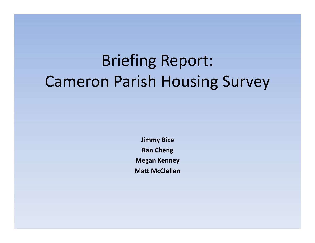# Briefing Report: Cameron Parish Housing Survey

**Jimmy Bice Ran Cheng Megan Kenney Matt McClellan**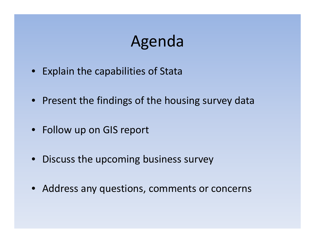## Agenda

- Explain the capabilities of Stata
- Present the findings of the housing survey data
- Follow up on GIS report
- Discuss the upcoming business survey
- Address any questions, comments or concerns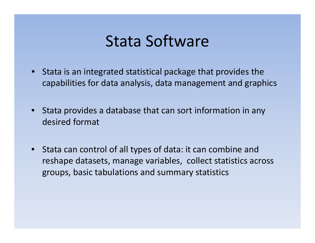## Stata Software

- •• Stata is an integrated statistical package that provides the capabilities for data analysis, data management and graphics
- •• Stata provides a database that can sort information in any desired format
- •• Stata can control of all types of data: it can combine and reshape datasets, manage variables, collect statistics across groups, basic tabulations and summary statistics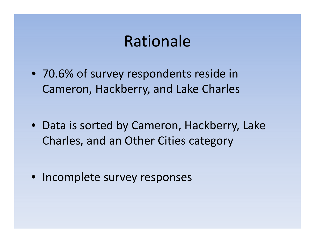## Rationale

- 70.6% of survey respondents reside in Cameron, Hackberry, and Lake Charles
- Data is sorted by Cameron, Hackberry, Lake Charles, and an Other Cities category

• Incomplete survey responses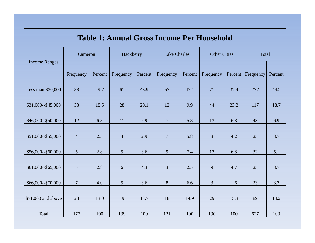|                      |                 |         |                 |         | <b>Table 1: Annual Gross Income Per Household</b> |         |                     |         |           |         |
|----------------------|-----------------|---------|-----------------|---------|---------------------------------------------------|---------|---------------------|---------|-----------|---------|
|                      | Cameron         |         | Hackberry       |         | <b>Lake Charles</b>                               |         | <b>Other Cities</b> |         | Total     |         |
| <b>Income Ranges</b> | Frequency       | Percent | Frequency       | Percent | Frequency                                         | Percent | Frequency           | Percent | Frequency | Percent |
| Less than \$30,000   | 88              | 49.7    | 61              | 43.9    | 57                                                | 47.1    | 71                  | 37.4    | 277       | 44.2    |
| \$31,000--\$45,000   | 33              | 18.6    | 28              | 20.1    | 12                                                | 9.9     | 44                  | 23.2    | 117       | 18.7    |
| \$46,000--\$50,000   | 12              | 6.8     | 11              | 7.9     | $\overline{7}$                                    | 5.8     | 13                  | 6.8     | 43        | 6.9     |
| \$51,000--\$55,000   | $\overline{4}$  | 2.3     | $\overline{4}$  | 2.9     | $\overline{7}$                                    | 5.8     | $8\,$               | 4.2     | 23        | 3.7     |
| \$56,000--\$60,000   | $5\overline{)}$ | 2.8     | $5\overline{)}$ | 3.6     | 9                                                 | 7.4     | 13                  | 6.8     | 32        | 5.1     |
| \$61,000--\$65,000   | 5 <sup>5</sup>  | 2.8     | 6               | 4.3     | $\overline{3}$                                    | 2.5     | 9                   | 4.7     | $23\,$    | 3.7     |
| \$66,000 -- \$70,000 | $\overline{7}$  | 4.0     | $\mathfrak{S}$  | 3.6     | $8\,$                                             | 6.6     | $\mathfrak{Z}$      | 1.6     | $23\,$    | $3.7\,$ |
| \$71,000 and above   | 23              | 13.0    | 19              | 13.7    | 18                                                | 14.9    | 29                  | 15.3    | 89        | 14.2    |
| Total                | 177             | 100     | 139             | 100     | 121                                               | 100     | 190                 | 100     | 627       | 100     |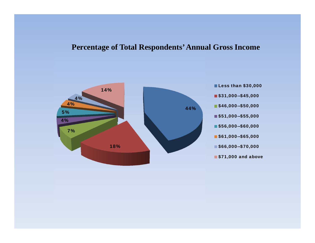#### **Percentage of Total Respondents' Annual Gross Income**

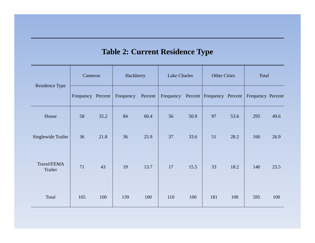### **Table 2: Current Residence Type**

|                        | Cameron   |         | Hackberry |         | <b>Lake Charles</b> |      | <b>Other Cities</b>       |      | Total             |      |
|------------------------|-----------|---------|-----------|---------|---------------------|------|---------------------------|------|-------------------|------|
| Residence Type         | Frequency | Percent | Frequency | Percent | Frequency           |      | Percent Frequency Percent |      | Frequency Percent |      |
| House                  | 58        | 35.2    | 84        | 60.4    | 56                  | 50.9 | 97                        | 53.6 | 295               | 49.6 |
| Singlewide Trailer     | 36        | 21.8    | 36        | 25.9    | 37                  | 33.6 | 51                        | 28.2 | 160               | 26.9 |
| Travel/FEMA<br>Trailer | 71        | 43      | 19        | 13.7    | 17                  | 15.5 | 33                        | 18.2 | 140               | 23.5 |
| Total                  | 165       | 100     | 139       | 100     | 110                 | 100  | 181                       | 100  | 595               | 100  |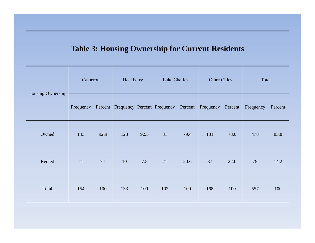### **Table 3: Housing Ownership for Current Residents**

|                   | Cameron   |         | Hackberry |      | Lake Charles                |         | <b>Other Cities</b> |         | Total     |         |
|-------------------|-----------|---------|-----------|------|-----------------------------|---------|---------------------|---------|-----------|---------|
| Housing Ownership | Frequency | Percent |           |      | Frequency Percent Frequency | Percent | Frequency           | Percent | Frequency | Percent |
| Owned             | 143       | 92.9    | 123       | 92.5 | 81                          | 79.4    | 131                 | 78.0    | 478       | 85.8    |
| Rented            | 11        | 7.1     | 10        | 7.5  | 21                          | 20.6    | 37                  | 22.0    | 79        | 14.2    |
| Total             | 154       | 100     | 133       | 100  | 102                         | 100     | 168                 | 100     | 557       | 100     |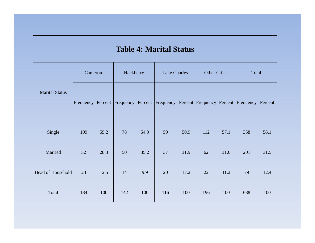#### **Table 4: Marital Status**

|                       | Cameron |      | Hackberry |      | <b>Lake Charles</b>                                                                       |      | <b>Other Cities</b> |      | Total |      |
|-----------------------|---------|------|-----------|------|-------------------------------------------------------------------------------------------|------|---------------------|------|-------|------|
| <b>Marital Status</b> |         |      |           |      | Frequency Percent Frequency Percent Frequency Percent Frequency Percent Frequency Percent |      |                     |      |       |      |
| Single                | 109     | 59.2 | 78        | 54.9 | 59                                                                                        | 50.9 | 112                 | 57.1 | 358   | 56.1 |
| Married               | 52      | 28.3 | 50        | 35.2 | 37                                                                                        | 31.9 | 62                  | 31.6 | 201   | 31.5 |
| Head of Household     | 23      | 12.5 | 14        | 9.9  | 20                                                                                        | 17.2 | 22                  | 11.2 | 79    | 12.4 |
| Total                 | 184     | 100  | 142       | 100  | 116                                                                                       | 100  | 196                 | 100  | 638   | 100  |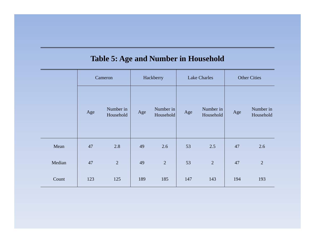### **Table 5: Age and Number in Household**

|        |     | Cameron                |     | Hackberry              |     | Lake Charles           |     | <b>Other Cities</b>    |
|--------|-----|------------------------|-----|------------------------|-----|------------------------|-----|------------------------|
|        | Age | Number in<br>Household | Age | Number in<br>Household | Age | Number in<br>Household | Age | Number in<br>Household |
| Mean   | 47  | 2.8                    | 49  | 2.6                    | 53  | 2.5                    | 47  | 2.6                    |
| Median | 47  | 2                      | 49  | $\overline{2}$         | 53  | $\overline{2}$         | 47  | $\overline{2}$         |
| Count  | 123 | 125                    | 189 | 185                    | 147 | 143                    | 194 | 193                    |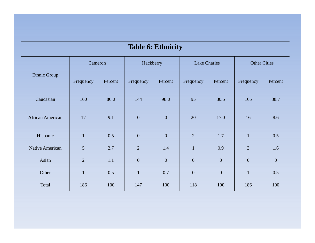#### **Table 6: Ethnicity**

|                         | Cameron        |         | Hackberry        |                  | <b>Lake Charles</b> |                  | <b>Other Cities</b> |              |
|-------------------------|----------------|---------|------------------|------------------|---------------------|------------------|---------------------|--------------|
| Ethnic Group            | Frequency      | Percent | Frequency        | Percent          | Frequency           | Percent          | Frequency           | Percent      |
| Caucasian               | 160            | 86.0    | 144              | 98.0             | 95                  | 80.5             | 165                 | 88.7         |
| <b>African American</b> | 17             | 9.1     | $\overline{0}$   | $\boldsymbol{0}$ | 20                  | 17.0             | 16                  | 8.6          |
| Hispanic                | $\mathbf{1}$   | 0.5     | $\boldsymbol{0}$ | $\boldsymbol{0}$ | $\overline{2}$      | 1.7              | $\mathbf{1}$        | 0.5          |
| Native American         | 5              | 2.7     | $\overline{2}$   | 1.4              | $\mathbf{1}$        | 0.9              | $\overline{3}$      | 1.6          |
| Asian                   | $\overline{2}$ | 1.1     | $\boldsymbol{0}$ | $\boldsymbol{0}$ | $\boldsymbol{0}$    | $\boldsymbol{0}$ | $\boldsymbol{0}$    | $\mathbf{0}$ |
| Other                   | $\mathbf{1}$   | 0.5     | $\mathbf{1}$     | 0.7              | $\boldsymbol{0}$    | $\overline{0}$   | $\mathbf{1}$        | 0.5          |
| Total                   | 186            | 100     | 147              | 100              | 118                 | 100              | 186                 | 100          |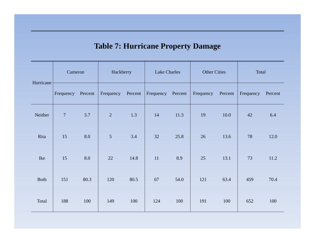|  | <b>Table 7: Hurricane Property Damage</b> |  |  |
|--|-------------------------------------------|--|--|
|--|-------------------------------------------|--|--|

| Hurricane   |                | Cameron |                | Hackberry |           | <b>Lake Charles</b> |           | <b>Other Cities</b> |           | Total   |  |
|-------------|----------------|---------|----------------|-----------|-----------|---------------------|-----------|---------------------|-----------|---------|--|
|             | Frequency      | Percent | Frequency      | Percent   | Frequency | Percent             | Frequency | Percent             | Frequency | Percent |  |
| Neither     | $\overline{7}$ | 3.7     | $\overline{2}$ | 1.3       | 14        | 11.3                | 19        | 10.0                | 42        | 6.4     |  |
| Rita        | 15             | 8.0     | 5              | 3.4       | 32        | 25.8                | 26        | 13.6                | 78        | 12.0    |  |
| Ike         | 15             | 8.0     | 22             | 14.8      | 11        | 8.9                 | 25        | 13.1                | 73        | 11.2    |  |
| <b>Both</b> | 151            | 80.3    | 120            | 80.5      | 67        | 54.0                | 121       | 63.4                | 459       | 70.4    |  |
| Total       | 188            | 100     | 149            | 100       | 124       | 100                 | 191       | 100                 | 652       | 100     |  |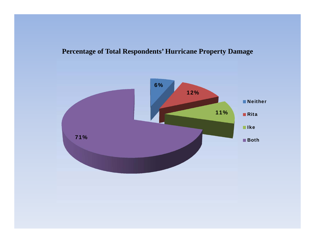#### **Percentage of Total Respondents' Hurricane Property Damage**

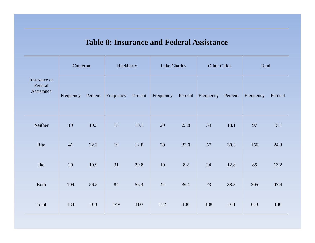#### **Table 8: Insurance and Federal Assistance**

| Insurance or          |           | Cameron |           | Hackberry |           | <b>Lake Charles</b> |           | <b>Other Cities</b> |           | Total   |  |
|-----------------------|-----------|---------|-----------|-----------|-----------|---------------------|-----------|---------------------|-----------|---------|--|
| Federal<br>Assistance | Frequency | Percent | Frequency | Percent   | Frequency | Percent             | Frequency | Percent             | Frequency | Percent |  |
| Neither               | 19        | 10.3    | 15        | 10.1      | 29        | 23.8                | 34        | 18.1                | 97        | 15.1    |  |
| Rita                  | 41        | 22.3    | 19        | 12.8      | 39        | 32.0                | 57        | 30.3                | 156       | 24.3    |  |
| Ike                   | 20        | 10.9    | 31        | 20.8      | 10        | 8.2                 | 24        | 12.8                | 85        | 13.2    |  |
| <b>Both</b>           | 104       | 56.5    | 84        | 56.4      | 44        | 36.1                | 73        | 38.8                | 305       | 47.4    |  |
| Total                 | 184       | 100     | 149       | 100       | 122       | 100                 | 188       | 100                 | 643       | 100     |  |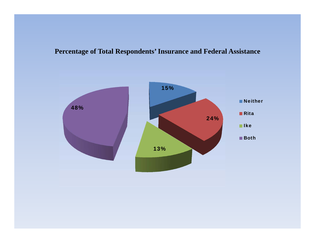#### **Percentage of Total Respondents' Insurance and Federal Assistance**

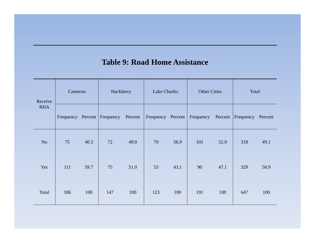#### **Table 9: Road Home Assistance**

| Receive        | Cameron |      | Hackberry                   |         | <b>Lake Charles</b> |      | <b>Other Cities</b> |         | Total     |         |
|----------------|---------|------|-----------------------------|---------|---------------------|------|---------------------|---------|-----------|---------|
| <b>RHA</b>     |         |      | Frequency Percent Frequency | Percent | Frequency Percent   |      | Frequency           | Percent | Frequency | Percent |
| N <sub>o</sub> | 75      | 40.3 | 72                          | 49.0    | 70                  | 56.9 | 101                 | 52.9    | 318       | 49.1    |
| Yes            | 111     | 59.7 | 75                          | 51.0    | 53                  | 43.1 | 90                  | 47.1    | 329       | 50.9    |
| Total          | 186     | 100  | 147                         | 100     | 123                 | 100  | 191                 | 100     | 647       | 100     |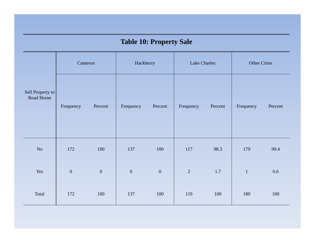|                               |                  |                |                  | <b>Table 10: Property Sale</b> |                |         |                     |         |
|-------------------------------|------------------|----------------|------------------|--------------------------------|----------------|---------|---------------------|---------|
|                               | Cameron          |                | Hackberry        |                                | Lake Charles   |         | <b>Other Cities</b> |         |
| Sell Property to<br>Road Home | Frequency        | Percent        | Frequency        | Percent                        | Frequency      | Percent | Frequency           | Percent |
| $\rm No$                      | 172              | 100            | 137              | 100                            | 117            | 98.3    | 179                 | 99.4    |
| Yes                           | $\boldsymbol{0}$ | $\overline{0}$ | $\boldsymbol{0}$ | $\boldsymbol{0}$               | $\overline{2}$ | $1.7\,$ | $\mathbf 1$         | 0.6     |
| Total                         | 172              | 100            | 137              | 100                            | 119            | 100     | 180                 | 100     |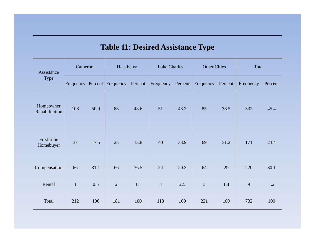### **Table 11: Desired Assistance Type**

| Assistance                  | Cameron                     |      | Hackberry      |         | <b>Lake Charles</b> |      | <b>Other Cities</b> |      | Total     |         |
|-----------------------------|-----------------------------|------|----------------|---------|---------------------|------|---------------------|------|-----------|---------|
| <b>Type</b>                 | Frequency Percent Frequency |      |                | Percent | Frequency Percent   |      | Frequency Percent   |      | Frequency | Percent |
| Homeowner<br>Rehabilitation | 108                         | 50.9 | 88             | 48.6    | 51                  | 43.2 | 85                  | 38.5 | 332       | 45.4    |
| First-time<br>Homebuyer     | 37                          | 17.5 | 25             | 13.8    | 40                  | 33.9 | 69                  | 31.2 | 171       | 23.4    |
| Compensation                | 66                          | 31.1 | 66             | 36.5    | 24                  | 20.3 | 64                  | 29   | 220       | 30.1    |
| Rental                      | $\mathbf{1}$                | 0.5  | $\overline{2}$ | 1.1     | 3                   | 2.5  | $\overline{3}$      | 1.4  | 9         | 1.2     |
| Total                       | 212                         | 100  | 181            | 100     | 118                 | 100  | 221                 | 100  | 732       | 100     |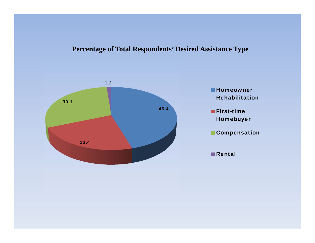#### **Percentage of Total Respondents' Desired Assistance Type**

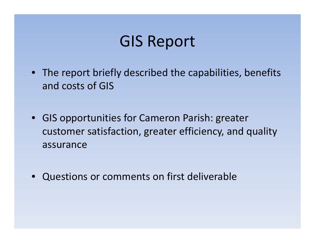## GIS Report

- The report briefly described the capabilities, benefits and costs of GIS
- GIS opportunities for Cameron Parish: greater customer satisfaction, greater efficiency, and quality assurance
- •Questions or comments on first deliverable